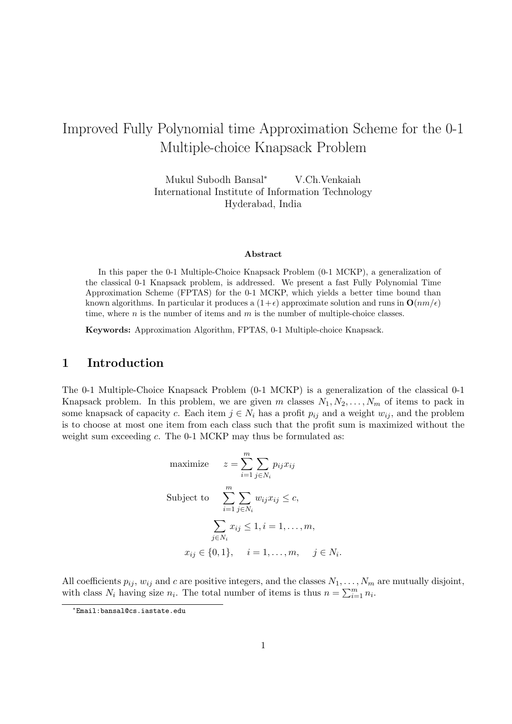# Improved Fully Polynomial time Approximation Scheme for the 0-1 Multiple-choice Knapsack Problem

Mukul Subodh Bansal<sup>∗</sup> V.Ch.Venkaiah International Institute of Information Technology Hyderabad, India

#### Abstract

In this paper the 0-1 Multiple-Choice Knapsack Problem (0-1 MCKP), a generalization of the classical 0-1 Knapsack problem, is addressed. We present a fast Fully Polynomial Time Approximation Scheme (FPTAS) for the 0-1 MCKP, which yields a better time bound than known algorithms. In particular it produces a  $(1+\epsilon)$  approximate solution and runs in  $\mathbf{O}(nm/\epsilon)$ time, where  $n$  is the number of items and  $m$  is the number of multiple-choice classes.

Keywords: Approximation Algorithm, FPTAS, 0-1 Multiple-choice Knapsack.

# 1 Introduction

The 0-1 Multiple-Choice Knapsack Problem (0-1 MCKP) is a generalization of the classical 0-1 Knapsack problem. In this problem, we are given m classes  $N_1, N_2, \ldots, N_m$  of items to pack in some knapsack of capacity c. Each item  $j \in N_i$  has a profit  $p_{ij}$  and a weight  $w_{ij}$ , and the problem is to choose at most one item from each class such that the profit sum is maximized without the weight sum exceeding c. The 0-1 MCKP may thus be formulated as:

maximize 
$$
z = \sum_{i=1}^{m} \sum_{j \in N_i} p_{ij} x_{ij}
$$
  
\nSubject to 
$$
\sum_{i=1}^{m} \sum_{j \in N_i} w_{ij} x_{ij} \le c,
$$

$$
\sum_{j \in N_i} x_{ij} \le 1, i = 1, ..., m,
$$

$$
x_{ij} \in \{0, 1\}, \quad i = 1, ..., m, \quad j \in N_i.
$$

All coefficients  $p_{ij}$ ,  $w_{ij}$  and c are positive integers, and the classes  $N_1, \ldots, N_m$  are mutually disjoint, with class  $N_i$  having size  $n_i$ . The total number of items is thus  $n = \sum_{i=1}^{m} n_i$ .

<sup>∗</sup> Email:bansal@cs.iastate.edu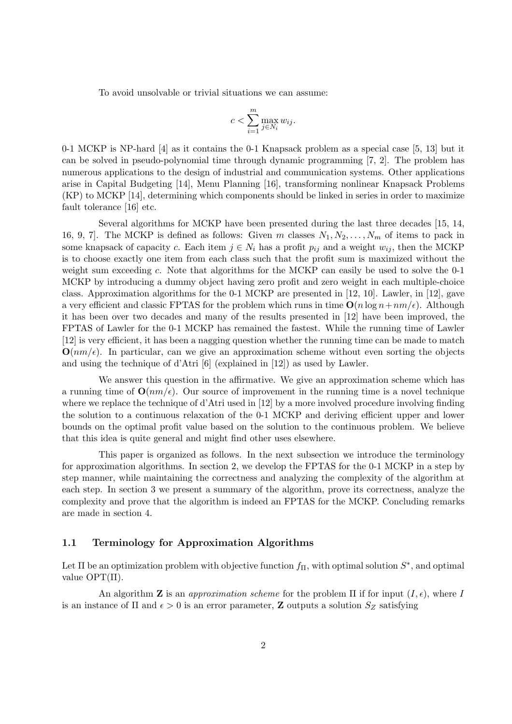To avoid unsolvable or trivial situations we can assume:

$$
c < \sum_{i=1}^{m} \max_{j \in N_i} w_{ij}.
$$

0-1 MCKP is NP-hard [4] as it contains the 0-1 Knapsack problem as a special case [5, 13] but it can be solved in pseudo-polynomial time through dynamic programming [7, 2]. The problem has numerous applications to the design of industrial and communication systems. Other applications arise in Capital Budgeting [14], Menu Planning [16], transforming nonlinear Knapsack Problems (KP) to MCKP [14], determining which components should be linked in series in order to maximize fault tolerance [16] etc.

Several algorithms for MCKP have been presented during the last three decades [15, 14, 16, 9, 7. The MCKP is defined as follows: Given m classes  $N_1, N_2, \ldots, N_m$  of items to pack in some knapsack of capacity c. Each item  $j \in N_i$  has a profit  $p_{ij}$  and a weight  $w_{ij}$ , then the MCKP is to choose exactly one item from each class such that the profit sum is maximized without the weight sum exceeding  $c$ . Note that algorithms for the MCKP can easily be used to solve the  $0-1$ MCKP by introducing a dummy object having zero profit and zero weight in each multiple-choice class. Approximation algorithms for the 0-1 MCKP are presented in [12, 10]. Lawler, in [12], gave a very efficient and classic FPTAS for the problem which runs in time  $O(n \log n + nm/\epsilon)$ . Although it has been over two decades and many of the results presented in [12] have been improved, the FPTAS of Lawler for the 0-1 MCKP has remained the fastest. While the running time of Lawler [12] is very efficient, it has been a nagging question whether the running time can be made to match  $\mathbf{O}(nm/\epsilon)$ . In particular, can we give an approximation scheme without even sorting the objects and using the technique of d'Atri [6] (explained in [12]) as used by Lawler.

We answer this question in the affirmative. We give an approximation scheme which has a running time of  $\mathbf{O}(nm/\epsilon)$ . Our source of improvement in the running time is a novel technique where we replace the technique of d'Atri used in [12] by a more involved procedure involving finding the solution to a continuous relaxation of the 0-1 MCKP and deriving efficient upper and lower bounds on the optimal profit value based on the solution to the continuous problem. We believe that this idea is quite general and might find other uses elsewhere.

This paper is organized as follows. In the next subsection we introduce the terminology for approximation algorithms. In section 2, we develop the FPTAS for the 0-1 MCKP in a step by step manner, while maintaining the correctness and analyzing the complexity of the algorithm at each step. In section 3 we present a summary of the algorithm, prove its correctness, analyze the complexity and prove that the algorithm is indeed an FPTAS for the MCKP. Concluding remarks are made in section 4.

## 1.1 Terminology for Approximation Algorithms

Let  $\Pi$  be an optimization problem with objective function  $f_{\Pi}$ , with optimal solution  $S^*$ , and optimal value  $\text{OPT}(\Pi)$ .

An algorithm **Z** is an *approximation scheme* for the problem  $\Pi$  if for input  $(I, \epsilon)$ , where I is an instance of  $\Pi$  and  $\epsilon > 0$  is an error parameter, **Z** outputs a solution  $S_Z$  satisfying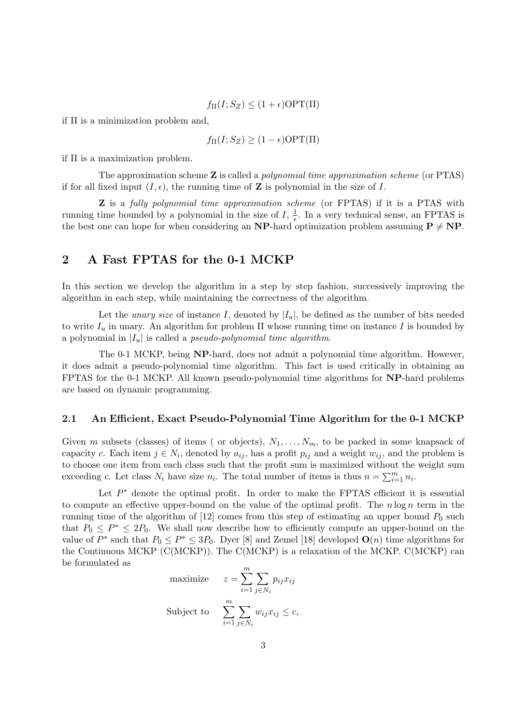$$
f_{\Pi}(I;S_Z) \le (1+\epsilon) \text{OPT}(\Pi)
$$

if  $\Pi$  is a minimization problem and,

$$
f_{\Pi}(I; S_Z) \ge (1 - \epsilon) \text{OPT}(\Pi)
$$

if Π is a maximization problem.

The approximation scheme  $Z$  is called a *polynomial time approximation scheme* (or  $PTAS$ ) if for all fixed input  $(I, \epsilon)$ , the running time of Z is polynomial in the size of I.

**Z** is a fully polynomial time approximation scheme (or FPTAS) if it is a PTAS with running time bounded by a polynomial in the size of  $I$ ,  $\frac{1}{6}$  $\frac{1}{\epsilon}$ . In a very technical sense, an FPTAS is the best one can hope for when considering an **NP**-hard optimization problem assuming  $P \neq NP$ .

# 2 A Fast FPTAS for the 0-1 MCKP

In this section we develop the algorithm in a step by step fashion, successively improving the algorithm in each step, while maintaining the correctness of the algorithm.

Let the *unary size* of instance I, denoted by  $|I_u|$ , be defined as the number of bits needed to write  $I_u$  in unary. An algorithm for problem  $\Pi$  whose running time on instance I is bounded by a polynomial in  $|I_u|$  is called a *pseudo-polynomial time algorithm*.

The 0-1 MCKP, being NP-hard, does not admit a polynomial time algorithm. However, it does admit a pseudo-polynomial time algorithm. This fact is used critically in obtaining an FPTAS for the 0-1 MCKP. All known pseudo-polynomial time algorithms for NP-hard problems are based on dynamic programming.

## 2.1 An Efficient, Exact Pseudo-Polynomial Time Algorithm for the 0-1 MCKP

Given m subsets (classes) of items ( or objects),  $N_1, \ldots, N_m$ , to be packed in some knapsack of capacity c. Each item  $j \in N_i$ , denoted by  $a_{ij}$ , has a profit  $p_{ij}$  and a weight  $w_{ij}$ , and the problem is to choose one item from each class such that the profit sum is maximized without the weight sum to choose one nem nome and class such that the pront sum is maximized without the exceeding c. Let class  $N_i$  have size  $n_i$ . The total number of items is thus  $n = \sum_{i=1}^m n_i$ .

Let  $P^*$  denote the optimal profit. In order to make the FPTAS efficient it is essential to compute an effective upper-bound on the value of the optimal profit. The  $n \log n$  term in the running time of the algorithm of  $[12]$  comes from this step of estimating an upper bound  $P_0$  such that  $P_0 \n\t\leq P^* \leq 2P_0$ . We shall now describe how to efficiently compute an upper-bound on the value of  $P^*$  such that  $P_0 \le P^* \le 3P_0$ . Dyer [8] and Zemel [18] developed  $\mathbf{O}(n)$  time algorithms for the Continuous MCKP (C(MCKP)). The C(MCKP) is a relaxation of the MCKP. C(MCKP) can be formulated as

maximize 
$$
z = \sum_{i=1}^{m} \sum_{j \in N_i} p_{ij} x_{ij}
$$
  
Subject to 
$$
\sum_{i=1}^{m} \sum_{j \in N_i} w_{ij} x_{ij} \le c,
$$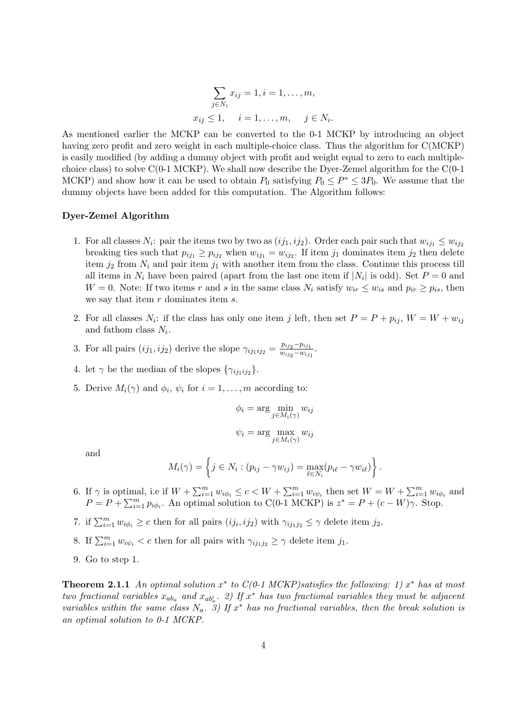$$
\sum_{j \in N_i} x_{ij} = 1, i = 1, ..., m,
$$
  

$$
x_{ij} \le 1, \quad i = 1, ..., m, \quad j \in N_i.
$$

As mentioned earlier the MCKP can be converted to the 0-1 MCKP by introducing an object having zero profit and zero weight in each multiple-choice class. Thus the algorithm for C(MCKP) is easily modified (by adding a dummy object with profit and weight equal to zero to each multiplechoice class) to solve  $C(0-1 \text{ MCKP})$ . We shall now describe the Dyer-Zemel algorithm for the  $C(0-1$ MCKP) and show how it can be used to obtain  $P_0$  satisfying  $P_0 \le P^* \le 3P_0$ . We assume that the dummy objects have been added for this computation. The Algorithm follows:

### Dyer-Zemel Algorithm

- 1. For all classes  $N_i$ : pair the items two by two as  $(ij_1, ij_2)$ . Order each pair such that  $w_{ij_1} \leq w_{ij_2}$ breaking ties such that  $p_{ij_1} \geq p_{ij_2}$  when  $w_{ij_1} = w_{ij_2}$ . If item  $j_1$  dominates item  $j_2$  then delete item  $j_2$  from  $N_i$  and pair item  $j_1$  with another item from the class. Continue this process till all items in  $N_i$  have been paired (apart from the last one item if  $|N_i|$  is odd). Set  $P=0$  and W = 0. Note: If two items r and s in the same class  $N_i$  satisfy  $w_{ir} \leq w_{is}$  and  $p_{ir} \geq p_{is}$ , then we say that item  $r$  dominates item  $s$ .
- 2. For all classes  $N_i$ : if the class has only one item j left, then set  $P = P + p_{ij}$ ,  $W = W + w_{ij}$ and fathom class  $N_i$ .
- 3. For all pairs  $(ij_1, i j_2)$  derive the slope  $\gamma_{ij_1 ij_2} = \frac{p_{ij_2} p_{ij_1}}{w_{ji_2} w_{ji_2}}$  $\frac{p_{ij_2}-p_{ij_1}}{w_{ij_2}-w_{ij_1}}$ .
- 4. let  $\gamma$  be the median of the slopes  $\{\gamma_{ij_1ij_2}\}.$
- 5. Derive  $M_i(\gamma)$  and  $\phi_i$ ,  $\psi_i$  for  $i = 1, \ldots, m$  according to:

$$
\phi_i = \arg \min_{j \in M_i(\gamma)} w_{ij}
$$

$$
\psi_i = \arg \max_{j \in M_i(\gamma)} w_{ij}
$$

and

$$
M_i(\gamma) = \left\{ j \in N_i : (p_{ij} - \gamma w_{ij}) = \max_{\ell \in N_i} (p_{i\ell} - \gamma w_{i\ell}) \right\}.
$$

- 6. If  $\gamma$  is optimal, i.e if  $W + \sum_{i=1}^m w_{i\phi_i} \le c < W + \sum_{i=1}^m w_{i\psi_i}$  then set  $W = W + \sum_{i=1}^m w_{i\phi_i}$  and  $P = P + \sum_{i=1}^{m} p_i \phi_i$ . An optimal solution to C(0-1 MCKP) is  $z^* = P + (c - W)\gamma$ . Stop.
- 7. if  $\sum_{i=1}^m w_{i\phi_i} \geq c$  then for all pairs  $(ij_i, ij_2)$  with  $\gamma_{ij_1j_2} \leq \gamma$  delete item  $j_2$ .
- 8. If  $\sum_{i=1}^m w_{i\psi_i} < c$  then for all pairs with  $\gamma_{ij_1j_2} \geq \gamma$  delete item  $j_1$ .
- 9. Go to step 1.

**Theorem 2.1.1** An optimal solution  $x^*$  to  $C(0-1)$  MCKP) satisfies the following: 1)  $x^*$  has at most two fractional variables  $x_{ab_a}$  and  $x_{ab'_a}$ . 2) If  $x^*$  has two fractional variables they must be adjacent variables within the same class  $N_a$ .  $\ddot{3}$ ) If  $x^*$  has no fractional variables, then the break solution is an optimal solution to 0-1 MCKP.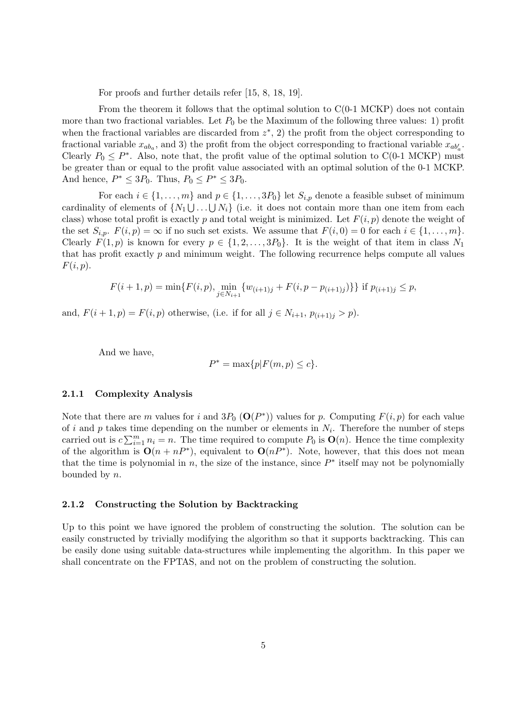For proofs and further details refer [15, 8, 18, 19].

From the theorem it follows that the optimal solution to C(0-1 MCKP) does not contain more than two fractional variables. Let  $P_0$  be the Maximum of the following three values: 1) profit when the fractional variables are discarded from  $z^*$ , 2) the profit from the object corresponding to fractional variable  $x_{ab_a}$ , and 3) the profit from the object corresponding to fractional variable  $x_{ab'_a}$ . Clearly  $P_0 \n\t\leq P^*$ . Also, note that, the profit value of the optimal solution to C(0-1 MCKP) must be greater than or equal to the profit value associated with an optimal solution of the 0-1 MCKP. And hence,  $P^* \leq 3P_0$ . Thus,  $P_0 \leq P^* \leq 3P_0$ .

For each  $i \in \{1, \ldots, m\}$  and  $p \in \{1, \ldots, 3P_0\}$  let  $S_{i,p}$  denote a feasible subset of minimum cardinality of elements of  $\{N_1 \cup ... \cup N_i\}$  (i.e. it does not contain more than one item from each class) whose total profit is exactly p and total weight is minimized. Let  $F(i, p)$  denote the weight of the set  $S_{i,p}$ .  $F(i,p) = \infty$  if no such set exists. We assume that  $F(i, 0) = 0$  for each  $i \in \{1, \ldots, m\}$ . Clearly  $F(1, p)$  is known for every  $p \in \{1, 2, ..., 3P_0\}$ . It is the weight of that item in class  $N_1$ that has profit exactly  $p$  and minimum weight. The following recurrence helps compute all values  $F(i, p).$ 

$$
F(i+1, p) = \min\{F(i, p), \min_{j \in N_{i+1}} \{w_{(i+1)j} + F(i, p - p_{(i+1)j})\}\} \text{ if } p_{(i+1)j} \le p,
$$

and,  $F(i + 1, p) = F(i, p)$  otherwise, (i.e. if for all  $j \in N_{i+1}, p_{(i+1)j} > p$ ).

And we have,

$$
P^* = \max\{p|F(m,p) \le c\}.
$$

#### 2.1.1 Complexity Analysis

Note that there are m values for i and  $3P_0$  ( $O(P^*)$ ) values for p. Computing  $F(i, p)$  for each value of i and p takes time depending on the number or elements in  $N_i$ . Therefore the number of steps carried out is  $c \sum_{i=1}^m n_i = n$ . The time required to compute  $P_0$  is  $\mathbf{O}(n)$ . Hence the time complexity of the algorithm is  $O(n + nP^*)$ , equivalent to  $O(nP^*)$ . Note, however, that this does not mean that the time is polynomial in n, the size of the instance, since  $P^*$  itself may not be polynomially bounded by n.

## 2.1.2 Constructing the Solution by Backtracking

Up to this point we have ignored the problem of constructing the solution. The solution can be easily constructed by trivially modifying the algorithm so that it supports backtracking. This can be easily done using suitable data-structures while implementing the algorithm. In this paper we shall concentrate on the FPTAS, and not on the problem of constructing the solution.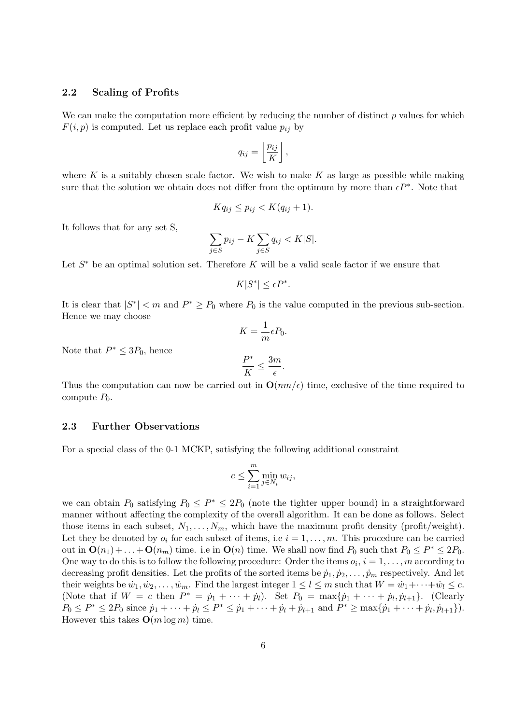## 2.2 Scaling of Profits

We can make the computation more efficient by reducing the number of distinct  $p$  values for which  $F(i, p)$  is computed. Let us replace each profit value  $p_{ij}$  by

$$
q_{ij} = \left\lfloor \frac{p_{ij}}{K} \right\rfloor,
$$

where K is a suitably chosen scale factor. We wish to make K as large as possible while making sure that the solution we obtain does not differ from the optimum by more than  $\epsilon P^*$ . Note that

$$
Kq_{ij} \le p_{ij} < K(q_{ij} + 1).
$$

It follows that for any set S,

$$
\sum_{j \in S} p_{ij} - K \sum_{j \in S} q_{ij} < K|S|.
$$

Let  $S^*$  be an optimal solution set. Therefore K will be a valid scale factor if we ensure that

$$
K|S^*| \le \epsilon P^*.
$$

It is clear that  $|S^*| < m$  and  $P^* \ge P_0$  where  $P_0$  is the value computed in the previous sub-section. Hence we may choose

$$
K = \frac{1}{m} \epsilon P_0.
$$

$$
\frac{P^*}{K} \le \frac{3m}{\epsilon}.
$$

Note that  $P^* \leq 3P_0$ , hence

Thus the computation can now be carried out in  $O(nm/\epsilon)$  time, exclusive of the time required to compute  $P_0$ .

 $\frac{\pi}{\epsilon}$ .

#### 2.3 Further Observations

For a special class of the 0-1 MCKP, satisfying the following additional constraint

$$
c \le \sum_{i=1}^m \min_{j \in N_i} w_{ij},
$$

we can obtain  $P_0$  satisfying  $P_0 \leq P^* \leq 2P_0$  (note the tighter upper bound) in a straightforward manner without affecting the complexity of the overall algorithm. It can be done as follows. Select those items in each subset,  $N_1, \ldots, N_m$ , which have the maximum profit density (profit/weight). Let they be denoted by  $o_i$  for each subset of items, i.e  $i = 1, \ldots, m$ . This procedure can be carried out in  $\mathbf{O}(n_1) + \ldots + \mathbf{O}(n_m)$  time. i.e in  $\mathbf{O}(n)$  time. We shall now find  $P_0$  such that  $P_0 \le P^* \le 2P_0$ . One way to do this is to follow the following procedure: Order the items  $o_i$ ,  $i = 1, \ldots, m$  according to decreasing profit densities. Let the profits of the sorted items be  $\dot{p}_1, \dot{p}_2, \ldots, \dot{p}_m$  respectively. And let their weights be  $\dot{w}_1, \dot{w}_2, \dots, \dot{w}_m$ . Find the largest integer  $1 \leq l \leq m$  such that  $W = \dot{w}_1 + \dots + \dot{w}_l \leq c$ . (Note that if  $W = c$  then  $P^* = \dot{p}_1 + \cdots + \dot{p}_l$ ). Set  $P_0 = \max{\{\dot{p}_1 + \cdots + \dot{p}_l, \dot{p}_{l+1}\}}$ . (Clearly  $P_0 \le P^* \le 2P_0$  since  $\dot{p}_1 + \cdots + \dot{p}_l \le P^* \le \dot{p}_1 + \cdots + \dot{p}_l + \dot{p}_{l+1}$  and  $P^* \ge \max\{\dot{p}_1 + \cdots + \dot{p}_l, \dot{p}_{l+1}\}\.$ However this takes  $O(m \log m)$  time.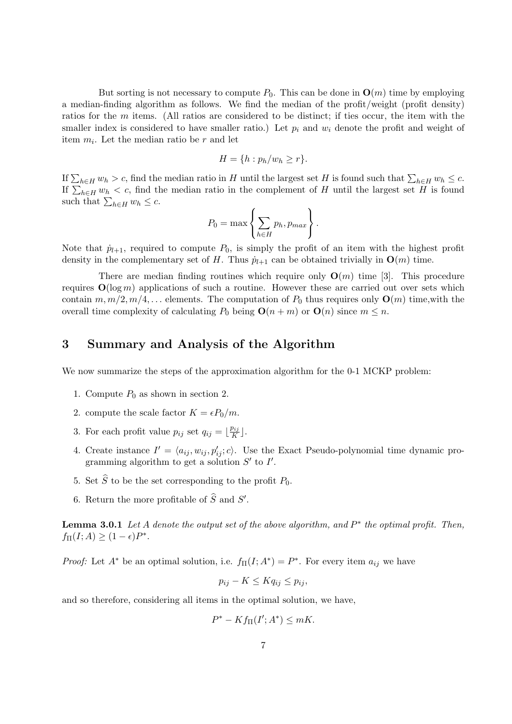But sorting is not necessary to compute  $P_0$ . This can be done in  $\mathbf{O}(m)$  time by employing a median-finding algorithm as follows. We find the median of the profit/weight (profit density) ratios for the m items. (All ratios are considered to be distinct; if ties occur, the item with the smaller index is considered to have smaller ratio.) Let  $p_i$  and  $w_i$  denote the profit and weight of item  $m_i$ . Let the median ratio be r and let

$$
H = \{h : p_h/w_h \ge r\}.
$$

If  $\sum_{h\in H} w_h > c$ , find the median ratio in H until the largest set H is found such that  $\sum_{h\in H} w_h \leq c$ . If  $\sum_{h\in H} w_h > c$ , find the median ratio in the magnetic set H is found such that  $\sum_{h\in H} w_h \leq c$ .<br>If  $\sum_{h\in H} w_h < c$ , find the median ratio in the complement of H until the largest set H is found such that  $\sum_{h\in H} w_h < c$ , and the such that  $\sum_{h\in H} w_h \leq c$ .  $\overline{a}$  $\ddot{\phantom{a}}$ 

$$
P_0 = \max \left\{ \sum_{h \in H} p_h, p_{max} \right\}.
$$

Note that  $\dot{p}_{l+1}$ , required to compute  $P_0$ , is simply the profit of an item with the highest profit density in the complementary set of H. Thus  $\dot{p}_{l+1}$  can be obtained trivially in  $\mathbf{O}(m)$  time.

There are median finding routines which require only  $O(m)$  time [3]. This procedure requires  $O(\log m)$  applications of such a routine. However these are carried out over sets which contain  $m, m/2, m/4, \ldots$  elements. The computation of  $P_0$  thus requires only  $\mathbf{O}(m)$  time, with the overall time complexity of calculating  $P_0$  being  $O(n + m)$  or  $O(n)$  since  $m \leq n$ .

# 3 Summary and Analysis of the Algorithm

We now summarize the steps of the approximation algorithm for the 0-1 MCKP problem:

- 1. Compute  $P_0$  as shown in section 2.
- 2. compute the scale factor  $K = \epsilon P_0/m$ .
- 3. For each profit value  $p_{ij}$  set  $q_{ij} = \lfloor \frac{p_{ij}}{K} \rfloor$  $\frac{p_{ij}}{K}$  ].
- 4. Create instance  $I' = \langle a_{ij}, w_{ij}, p'_{ij}; c \rangle$ . Use the Exact Pseudo-polynomial time dynamic programming algorithm to get a solution  $S'$  to  $I'$ .
- 5. Set  $\widehat{S}$  to be the set corresponding to the profit  $P_0$ .
- 6. Return the more profitable of  $\widehat{S}$  and  $S'$ .

**Lemma 3.0.1** Let A denote the output set of the above algorithm, and  $P^*$  the optimal profit. Then,  $f_{\Pi}(I; A) \geq (1 - \epsilon)P^*$ .

*Proof:* Let  $A^*$  be an optimal solution, i.e.  $f_{\Pi}(I; A^*) = P^*$ . For every item  $a_{ij}$  we have

$$
p_{ij} - K \le K q_{ij} \le p_{ij},
$$

and so therefore, considering all items in the optimal solution, we have,

$$
P^* - Kf_{\Pi}(I'; A^*) \leq mK.
$$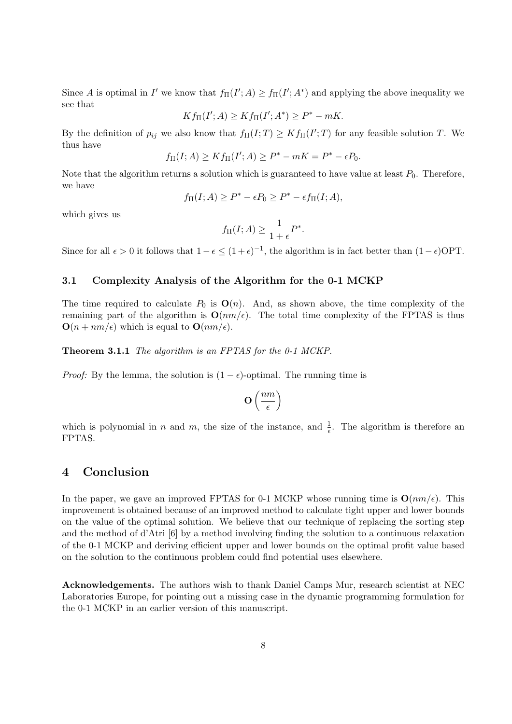Since A is optimal in I' we know that  $f_{\Pi}(I';A) \ge f_{\Pi}(I';A^*)$  and applying the above inequality we see that

$$
Kf_{\Pi}(I';A) \geq Kf_{\Pi}(I';A^*) \geq P^* - mK.
$$

By the definition of  $p_{ij}$  we also know that  $f_{\Pi}(I;T) \geq K f_{\Pi}(I';T)$  for any feasible solution T. We thus have

$$
f_{\Pi}(I; A) \ge K f_{\Pi}(I'; A) \ge P^* - mK = P^* - \epsilon P_0.
$$

Note that the algorithm returns a solution which is guaranteed to have value at least  $P_0$ . Therefore, we have

$$
f_{\Pi}(I; A) \ge P^* - \epsilon P_0 \ge P^* - \epsilon f_{\Pi}(I; A),
$$

which gives us

$$
f_{\Pi}(I; A) \ge \frac{1}{1+\epsilon} P^*.
$$

Since for all  $\epsilon > 0$  it follows that  $1 - \epsilon \leq (1 + \epsilon)^{-1}$ , the algorithm is in fact better than  $(1 - \epsilon)$ OPT.

## 3.1 Complexity Analysis of the Algorithm for the 0-1 MCKP

The time required to calculate  $P_0$  is  $\mathbf{O}(n)$ . And, as shown above, the time complexity of the remaining part of the algorithm is  $O(nm/\epsilon)$ . The total time complexity of the FPTAS is thus  $\mathbf{O}(n + nm/\epsilon)$  which is equal to  $\mathbf{O}(nm/\epsilon)$ .

Theorem 3.1.1 The algorithm is an FPTAS for the 0-1 MCKP.

*Proof:* By the lemma, the solution is  $(1 - \epsilon)$ -optimal. The running time is

$$
O\left(\frac{nm}{\epsilon}\right)
$$

which is polynomial in n and m, the size of the instance, and  $\frac{1}{\epsilon}$ . The algorithm is therefore an FPTAS.

# 4 Conclusion

In the paper, we gave an improved FPTAS for 0-1 MCKP whose running time is  $O(nm/\epsilon)$ . This improvement is obtained because of an improved method to calculate tight upper and lower bounds on the value of the optimal solution. We believe that our technique of replacing the sorting step and the method of d'Atri [6] by a method involving finding the solution to a continuous relaxation of the 0-1 MCKP and deriving efficient upper and lower bounds on the optimal profit value based on the solution to the continuous problem could find potential uses elsewhere.

Acknowledgements. The authors wish to thank Daniel Camps Mur, research scientist at NEC Laboratories Europe, for pointing out a missing case in the dynamic programming formulation for the 0-1 MCKP in an earlier version of this manuscript.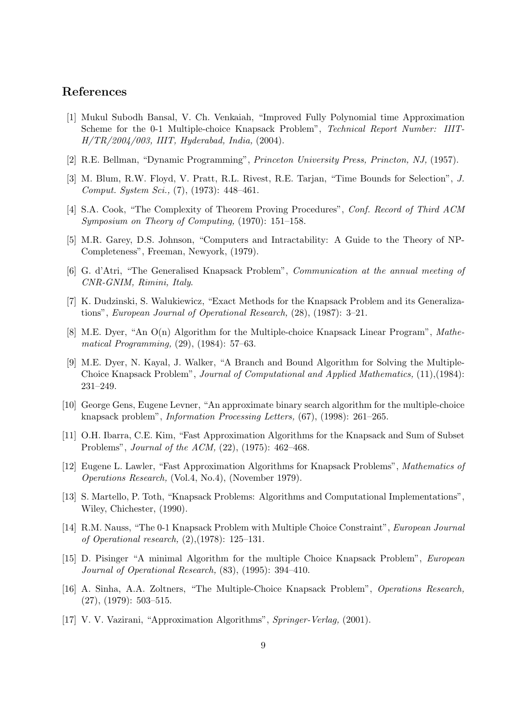# References

- [1] Mukul Subodh Bansal, V. Ch. Venkaiah, "Improved Fully Polynomial time Approximation Scheme for the 0-1 Multiple-choice Knapsack Problem", Technical Report Number: IIIT-H/TR/2004/003, IIIT, Hyderabad, India, (2004).
- [2] R.E. Bellman, "Dynamic Programming", Princeton University Press, Princton, NJ, (1957).
- [3] M. Blum, R.W. Floyd, V. Pratt, R.L. Rivest, R.E. Tarjan, "Time Bounds for Selection", J. Comput. System Sci., (7), (1973): 448–461.
- [4] S.A. Cook, "The Complexity of Theorem Proving Procedures", Conf. Record of Third ACM Symposium on Theory of Computing, (1970): 151–158.
- [5] M.R. Garey, D.S. Johnson, "Computers and Intractability: A Guide to the Theory of NP-Completeness", Freeman, Newyork, (1979).
- [6] G. d'Atri, "The Generalised Knapsack Problem", Communication at the annual meeting of CNR-GNIM, Rimini, Italy.
- [7] K. Dudzinski, S. Walukiewicz, "Exact Methods for the Knapsack Problem and its Generalizations", European Journal of Operational Research, (28), (1987): 3–21.
- [8] M.E. Dyer, "An O(n) Algorithm for the Multiple-choice Knapsack Linear Program", Mathematical Programming, (29), (1984): 57–63.
- [9] M.E. Dyer, N. Kayal, J. Walker, "A Branch and Bound Algorithm for Solving the Multiple-Choice Knapsack Problem", Journal of Computational and Applied Mathematics, (11),(1984): 231–249.
- [10] George Gens, Eugene Levner, "An approximate binary search algorithm for the multiple-choice knapsack problem", Information Processing Letters, (67), (1998): 261–265.
- [11] O.H. Ibarra, C.E. Kim, "Fast Approximation Algorithms for the Knapsack and Sum of Subset Problems", Journal of the ACM, (22), (1975): 462–468.
- [12] Eugene L. Lawler, "Fast Approximation Algorithms for Knapsack Problems", Mathematics of Operations Research, (Vol.4, No.4), (November 1979).
- [13] S. Martello, P. Toth, "Knapsack Problems: Algorithms and Computational Implementations", Wiley, Chichester, (1990).
- [14] R.M. Nauss, "The 0-1 Knapsack Problem with Multiple Choice Constraint", European Journal of Operational research, (2),(1978): 125–131.
- [15] D. Pisinger "A minimal Algorithm for the multiple Choice Knapsack Problem", European Journal of Operational Research, (83), (1995): 394–410.
- [16] A. Sinha, A.A. Zoltners, "The Multiple-Choice Knapsack Problem", Operations Research, (27), (1979): 503–515.
- [17] V. V. Vazirani, "Approximation Algorithms", Springer-Verlag, (2001).